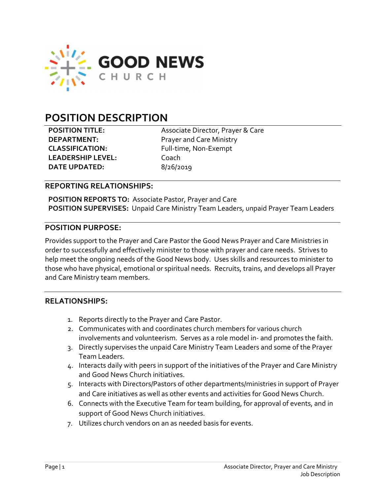

# POSITION DESCRIPTION

LEADERSHIP LEVEL: Coach DATE UPDATED: 8/26/2019

POSITION TITLE: Associate Director, Prayer & Care **DEPARTMENT:** Prayer and Care Ministry CLASSIFICATION: Full-time, Non-Exempt

### REPORTING RELATIONSHIPS:

POSITION REPORTS TO: Associate Pastor, Prayer and Care POSITION SUPERVISES: Unpaid Care Ministry Team Leaders, unpaid Prayer Team Leaders

### POSITION PURPOSE:

Provides support to the Prayer and Care Pastor the Good News Prayer and Care Ministries in order to successfully and effectively minister to those with prayer and care needs. Strives to help meet the ongoing needs of the Good News body. Uses skills and resources to minister to those who have physical, emotional or spiritual needs. Recruits, trains, and develops all Prayer and Care Ministry team members.

# RELATIONSHIPS:

- 1. Reports directly to the Prayer and Care Pastor.
- 2. Communicates with and coordinates church members for various church involvements and volunteerism. Serves as a role model in- and promotes the faith.
- 3. Directly supervises the unpaid Care Ministry Team Leaders and some of the Prayer Team Leaders.
- 4. Interacts daily with peers in support of the initiatives of the Prayer and Care Ministry and Good News Church initiatives.
- 5. Interacts with Directors/Pastors of other departments/ministries in support of Prayer and Care initiatives as well as other events and activities for Good News Church.
- 6. Connects with the Executive Team for team building, for approval of events, and in support of Good News Church initiatives.
- 7. Utilizes church vendors on an as needed basis for events.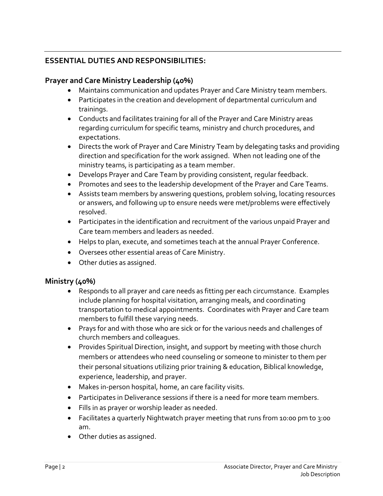# ESSENTIAL DUTIES AND RESPONSIBILITIES:

# Prayer and Care Ministry Leadership (40%)

- Maintains communication and updates Prayer and Care Ministry team members.
- Participates in the creation and development of departmental curriculum and trainings.
- Conducts and facilitates training for all of the Prayer and Care Ministry areas regarding curriculum for specific teams, ministry and church procedures, and expectations.
- Directs the work of Prayer and Care Ministry Team by delegating tasks and providing direction and specification for the work assigned. When not leading one of the ministry teams, is participating as a team member.
- Develops Prayer and Care Team by providing consistent, regular feedback.
- Promotes and sees to the leadership development of the Prayer and Care Teams.
- Assists team members by answering questions, problem solving, locating resources or answers, and following up to ensure needs were met/problems were effectively resolved.
- Participates in the identification and recruitment of the various unpaid Prayer and Care team members and leaders as needed.
- Helps to plan, execute, and sometimes teach at the annual Prayer Conference.
- Oversees other essential areas of Care Ministry.
- Other duties as assigned.

# Ministry (40%)

- Responds to all prayer and care needs as fitting per each circumstance. Examples include planning for hospital visitation, arranging meals, and coordinating transportation to medical appointments. Coordinates with Prayer and Care team members to fulfill these varying needs.
- Prays for and with those who are sick or for the various needs and challenges of church members and colleagues.
- Provides Spiritual Direction, insight, and support by meeting with those church members or attendees who need counseling or someone to minister to them per their personal situations utilizing prior training & education, Biblical knowledge, experience, leadership, and prayer.
- Makes in-person hospital, home, an care facility visits.
- Participates in Deliverance sessions if there is a need for more team members.
- Fills in as prayer or worship leader as needed.
- Facilitates a quarterly Nightwatch prayer meeting that runs from 10:00 pm to 3:00 am.
- Other duties as assigned.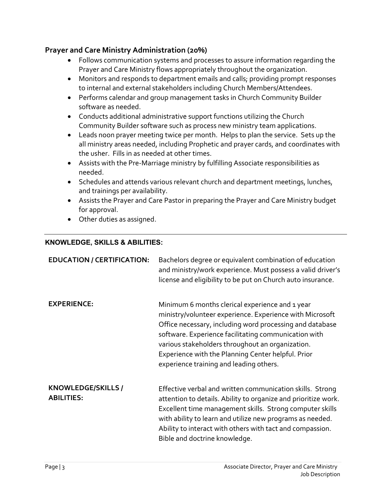# Prayer and Care Ministry Administration (20%)

- Follows communication systems and processes to assure information regarding the Prayer and Care Ministry flows appropriately throughout the organization.
- Monitors and responds to department emails and calls; providing prompt responses to internal and external stakeholders including Church Members/Attendees.
- Performs calendar and group management tasks in Church Community Builder software as needed.
- Conducts additional administrative support functions utilizing the Church Community Builder software such as process new ministry team applications.
- Leads noon prayer meeting twice per month. Helps to plan the service. Sets up the all ministry areas needed, including Prophetic and prayer cards, and coordinates with the usher. Fills in as needed at other times.
- Assists with the Pre-Marriage ministry by fulfilling Associate responsibilities as needed.
- Schedules and attends various relevant church and department meetings, lunches, and trainings per availability.
- Assists the Prayer and Care Pastor in preparing the Prayer and Care Ministry budget for approval.
- Other duties as assigned.

### KNOWLEDGE, SKILLS & ABILITIES:

| <b>EDUCATION / CERTIFICATION:</b>       | Bachelors degree or equivalent combination of education<br>and ministry/work experience. Must possess a valid driver's<br>license and eligibility to be put on Church auto insurance.                                                                                                                                                                                                |
|-----------------------------------------|--------------------------------------------------------------------------------------------------------------------------------------------------------------------------------------------------------------------------------------------------------------------------------------------------------------------------------------------------------------------------------------|
| <b>EXPERIENCE:</b>                      | Minimum 6 months clerical experience and 1 year<br>ministry/volunteer experience. Experience with Microsoft<br>Office necessary, including word processing and database<br>software. Experience facilitating communication with<br>various stakeholders throughout an organization.<br>Experience with the Planning Center helpful. Prior<br>experience training and leading others. |
| KNOWLEDGE/SKILLS /<br><b>ABILITIES:</b> | Effective verbal and written communication skills. Strong<br>attention to details. Ability to organize and prioritize work.<br>Excellent time management skills. Strong computer skills<br>with ability to learn and utilize new programs as needed.<br>Ability to interact with others with tact and compassion.<br>Bible and doctrine knowledge.                                   |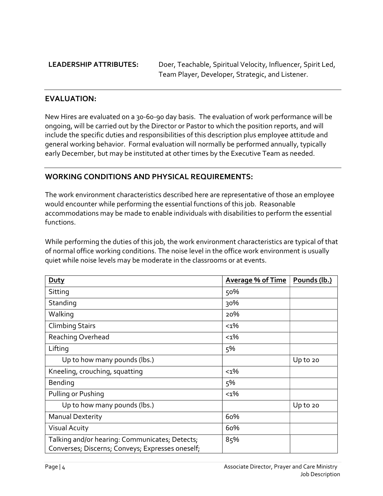LEADERSHIP ATTRIBUTES: Doer, Teachable, Spiritual Velocity, Influencer, Spirit Led, Team Player, Developer, Strategic, and Listener.

# EVALUATION:

New Hires are evaluated on a 30-60-90 day basis. The evaluation of work performance will be ongoing, will be carried out by the Director or Pastor to which the position reports, and will include the specific duties and responsibilities of this description plus employee attitude and general working behavior. Formal evaluation will normally be performed annually, typically early December, but may be instituted at other times by the Executive Team as needed.

# WORKING CONDITIONS AND PHYSICAL REQUIREMENTS:

The work environment characteristics described here are representative of those an employee would encounter while performing the essential functions of this job. Reasonable accommodations may be made to enable individuals with disabilities to perform the essential functions.

While performing the duties of this job, the work environment characteristics are typical of that of normal office working conditions. The noise level in the office work environment is usually quiet while noise levels may be moderate in the classrooms or at events.

| <b>Duty</b>                                      | <b>Average % of Time</b> | Pounds (lb.) |
|--------------------------------------------------|--------------------------|--------------|
| Sitting                                          | 50%                      |              |
| Standing                                         | 30%                      |              |
| Walking                                          | 20%                      |              |
| <b>Climbing Stairs</b>                           | $1\%$                    |              |
| Reaching Overhead                                | $< 1\%$                  |              |
| Lifting                                          | 5%                       |              |
| Up to how many pounds (lbs.)                     |                          | Up to 20     |
| Kneeling, crouching, squatting                   | $< 1\%$                  |              |
| Bending                                          | 5%                       |              |
| Pulling or Pushing                               | $< 1\%$                  |              |
| Up to how many pounds (lbs.)                     |                          | Up to 20     |
| <b>Manual Dexterity</b>                          | 60%                      |              |
| <b>Visual Acuity</b>                             | 60%                      |              |
| Talking and/or hearing: Communicates; Detects;   | 85%                      |              |
| Converses; Discerns; Conveys; Expresses oneself; |                          |              |